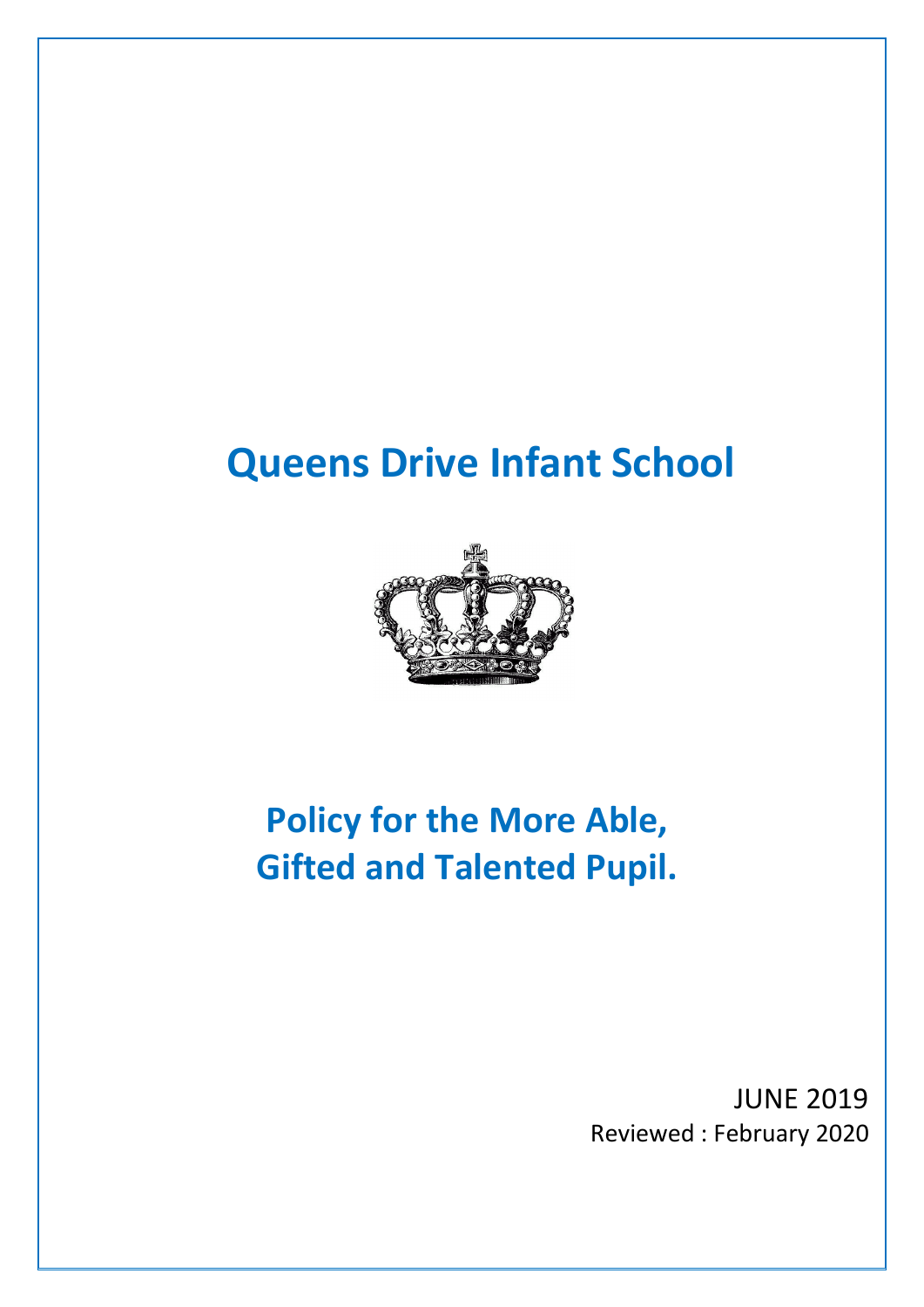# **Queens Drive Infant School**



## **Policy for the More Able, Gifted and Talented Pupil.**

JUNE 2019 Reviewed : February 2020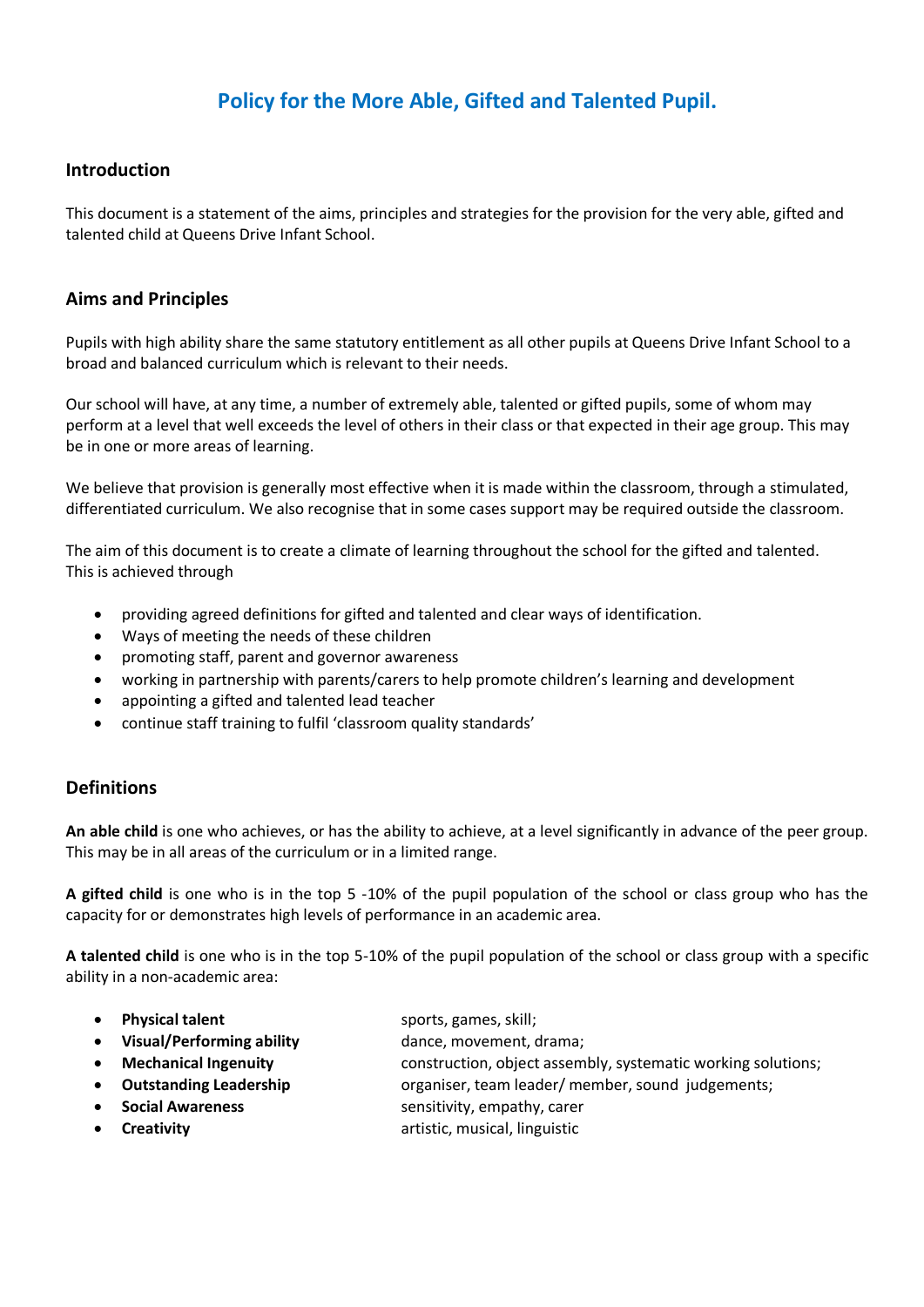## **Policy for the More Able, Gifted and Talented Pupil.**

## **Introduction**

This document is a statement of the aims, principles and strategies for the provision for the very able, gifted and talented child at Queens Drive Infant School.

## **Aims and Principles**

Pupils with high ability share the same statutory entitlement as all other pupils at Queens Drive Infant School to a broad and balanced curriculum which is relevant to their needs.

Our school will have, at any time, a number of extremely able, talented or gifted pupils, some of whom may perform at a level that well exceeds the level of others in their class or that expected in their age group. This may be in one or more areas of learning.

We believe that provision is generally most effective when it is made within the classroom, through a stimulated, differentiated curriculum. We also recognise that in some cases support may be required outside the classroom.

The aim of this document is to create a climate of learning throughout the school for the gifted and talented. This is achieved through

- providing agreed definitions for gifted and talented and clear ways of identification.
- Ways of meeting the needs of these children
- promoting staff, parent and governor awareness
- working in partnership with parents/carers to help promote children's learning and development
- appointing a gifted and talented lead teacher
- continue staff training to fulfil 'classroom quality standards'

### **Definitions**

**An able child** is one who achieves, or has the ability to achieve, at a level significantly in advance of the peer group. This may be in all areas of the curriculum or in a limited range.

**A gifted child** is one who is in the top 5 -10% of the pupil population of the school or class group who has the capacity for or demonstrates high levels of performance in an academic area.

**A talented child** is one who is in the top 5-10% of the pupil population of the school or class group with a specific ability in a non-academic area:

- **Physical talent** sports, games, skill;
- **Visual/Performing ability** dance, movement, drama;
- 
- 
- **Mechanical Ingenuity** construction, object assembly, systematic working solutions;
- **Outstanding Leadership** organiser, team leader/ member, sound judgements;
- **Social Awareness** sensitivity, empathy, carer
- 
- **Creativity Creativity Creativity Creativity Creativity Creativity Creativity Creativity Creativity Creativity Creativity Creativity Creativity Creativity Creativity Creativity Creativity**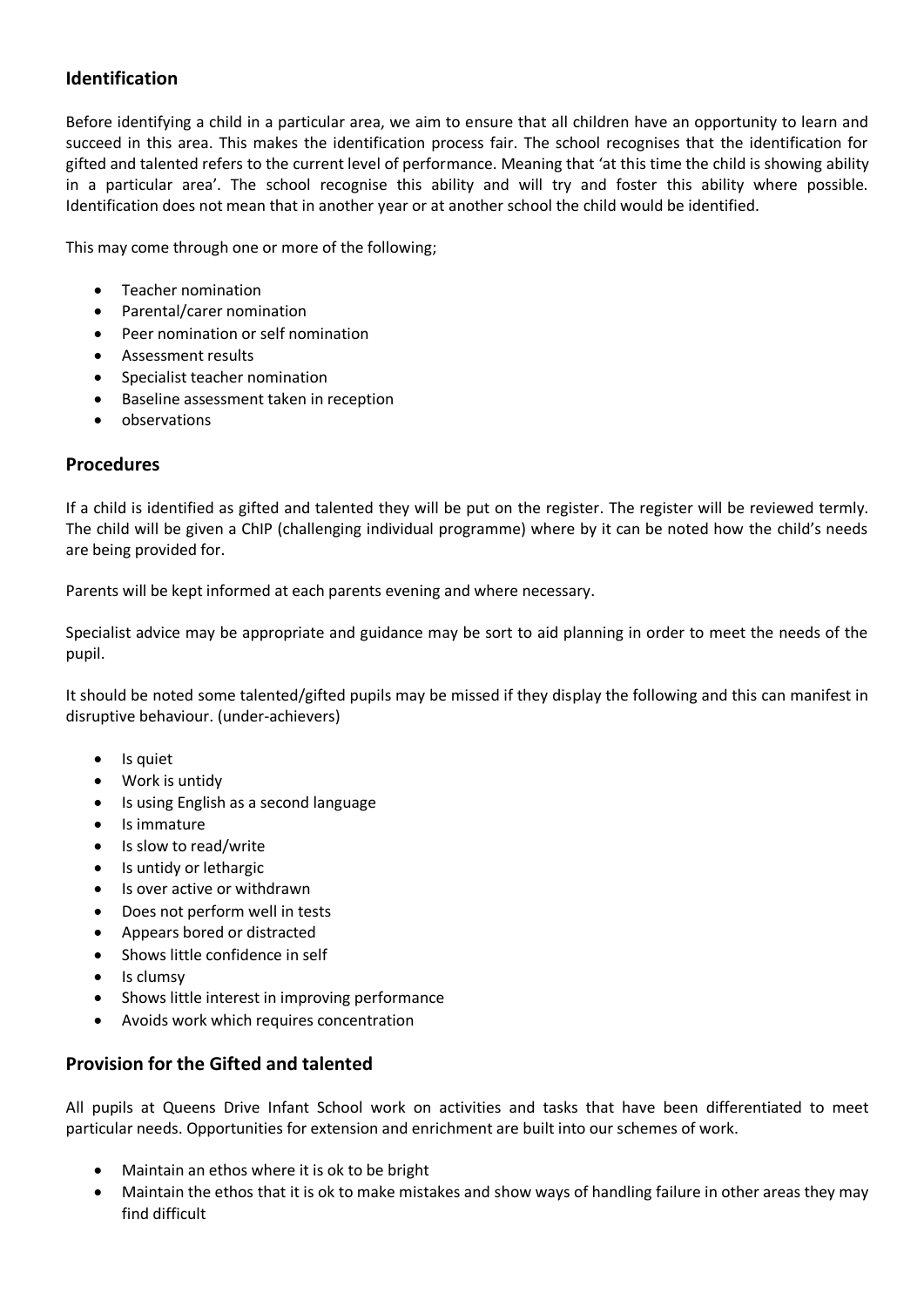## **Identification**

Before identifying a child in a particular area, we aim to ensure that all children have an opportunity to learn and succeed in this area. This makes the identification process fair. The school recognises that the identification for gifted and talented refers to the current level of performance. Meaning that 'at this time the child is showing ability in a particular area'. The school recognise this ability and will try and foster this ability where possible. Identification does not mean that in another year or at another school the child would be identified.

This may come through one or more of the following;

- Teacher nomination
- Parental/carer nomination
- Peer nomination or self nomination
- Assessment results
- Specialist teacher nomination
- Baseline assessment taken in reception
- observations

## **Procedures**

If a child is identified as gifted and talented they will be put on the register. The register will be reviewed termly. The child will be given a ChIP (challenging individual programme) where by it can be noted how the child's needs are being provided for.

Parents will be kept informed at each parents evening and where necessary.

Specialist advice may be appropriate and guidance may be sort to aid planning in order to meet the needs of the pupil.

It should be noted some talented/gifted pupils may be missed if they display the following and this can manifest in disruptive behaviour. (under-achievers)

- Is quiet
- Work is untidy
- Is using English as a second language
- Is immature
- Is slow to read/write
- Is untidy or lethargic
- Is over active or withdrawn
- Does not perform well in tests
- Appears bored or distracted
- Shows little confidence in self
- Is clumsy
- Shows little interest in improving performance
- Avoids work which requires concentration

## **Provision for the Gifted and talented**

All pupils at Queens Drive Infant School work on activities and tasks that have been differentiated to meet particular needs. Opportunities for extension and enrichment are built into our schemes of work.

- Maintain an ethos where it is ok to be bright
- Maintain the ethos that it is ok to make mistakes and show ways of handling failure in other areas they may find difficult